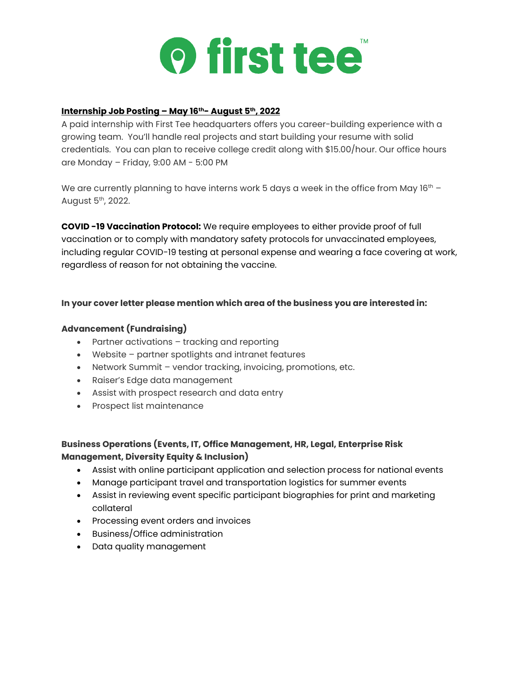

### **Internship Job Posting – May 16th- August 5th, 2022**

A paid internship with First Tee headquarters offers you career-building experience with a growing team. You'll handle real projects and start building your resume with solid credentials. You can plan to receive college credit along with \$15.00/hour. Our office hours are Monday – Friday, 9:00 AM - 5:00 PM

We are currently planning to have interns work 5 days a week in the office from May  $16<sup>th</sup>$  -August 5<sup>th</sup>, 2022.

**COVID -19 Vaccination Protocol:** We require employees to either provide proof of full vaccination or to comply with mandatory safety protocols for unvaccinated employees, including regular COVID-19 testing at personal expense and wearing a face covering at work, regardless of reason for not obtaining the vaccine.

#### **In your cover letter please mention which area of the business you are interested in:**

#### **Advancement (Fundraising)**

- Partner activations tracking and reporting
- Website partner spotlights and intranet features
- Network Summit vendor tracking, invoicing, promotions, etc.
- Raiser's Edge data management
- Assist with prospect research and data entry
- Prospect list maintenance

# **Business Operations (Events, IT, Office Management, HR, Legal, Enterprise Risk Management, Diversity Equity & Inclusion)**

- Assist with online participant application and selection process for national events
- Manage participant travel and transportation logistics for summer events
- Assist in reviewing event specific participant biographies for print and marketing collateral
- Processing event orders and invoices
- Business/Office administration
- Data quality management